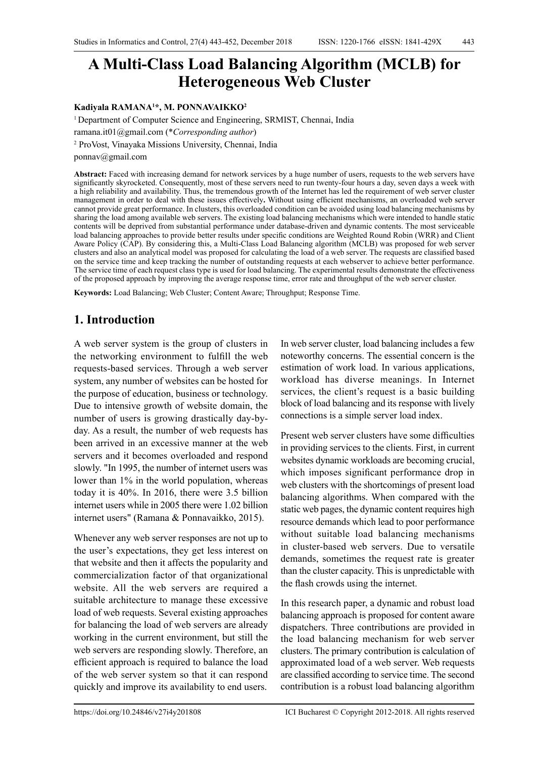# **A Multi-Class Load Balancing Algorithm (MCLB) for Heterogeneous Web Cluster**

#### **Kadiyala RAMANA1 \*, M. PONNAVAIKKO2**

<sup>1</sup> Department of Computer Science and Engineering, SRMIST, Chennai, India

ramana.it01@gmail.com (\**Corresponding author*)

2 ProVost, Vinayaka Missions University, Chennai, India

ponnav@gmail.com

**Abstract:** Faced with increasing demand for network services by a huge number of users, requests to the web servers have significantly skyrocketed. Consequently, most of these servers need to run twenty-four hours a day, seven days a week with a high reliability and availability. Thus, the tremendous growth of the Internet has led the requirement of web server cluster management in order to deal with these issues effectively**.** Without using efficient mechanisms, an overloaded web server cannot provide great performance. In clusters, this overloaded condition can be avoided using load balancing mechanisms by sharing the load among available web servers. The existing load balancing mechanisms which were intended to handle static contents will be deprived from substantial performance under database-driven and dynamic contents. The most serviceable load balancing approaches to provide better results under specific conditions are Weighted Round Robin (WRR) and Client Aware Policy (CAP). By considering this, a Multi-Class Load Balancing algorithm (MCLB) was proposed for web server clusters and also an analytical model was proposed for calculating the load of a web server. The requests are classified based on the service time and keep tracking the number of outstanding requests at each webserver to achieve better performance. The service time of each request class type is used for load balancing. The experimental results demonstrate the effectiveness of the proposed approach by improving the average response time, error rate and throughput of the web server cluster.

**Keywords:** Load Balancing; Web Cluster; Content Aware; Throughput; Response Time.

## **1. Introduction**

A web server system is the group of clusters in the networking environment to fulfill the web requests-based services. Through a web server system, any number of websites can be hosted for the purpose of education, business or technology. Due to intensive growth of website domain, the number of users is growing drastically day-byday. As a result, the number of web requests has been arrived in an excessive manner at the web servers and it becomes overloaded and respond slowly. "In 1995, the number of internet users was lower than 1% in the world population, whereas today it is 40%. In 2016, there were 3.5 billion internet users while in 2005 there were 1.02 billion internet users" (Ramana & Ponnavaikko, 2015).

Whenever any web server responses are not up to the user's expectations, they get less interest on that website and then it affects the popularity and commercialization factor of that organizational website. All the web servers are required a suitable architecture to manage these excessive load of web requests. Several existing approaches for balancing the load of web servers are already working in the current environment, but still the web servers are responding slowly. Therefore, an efficient approach is required to balance the load of the web server system so that it can respond quickly and improve its availability to end users.

In web server cluster, load balancing includes a few noteworthy concerns. The essential concern is the estimation of work load. In various applications, workload has diverse meanings. In Internet services, the client's request is a basic building block of load balancing and its response with lively connections is a simple server load index.

Present web server clusters have some difficulties in providing services to the clients. First, in current websites dynamic workloads are becoming crucial, which imposes significant performance drop in web clusters with the shortcomings of present load balancing algorithms. When compared with the static web pages, the dynamic content requires high resource demands which lead to poor performance without suitable load balancing mechanisms in cluster-based web servers. Due to versatile demands, sometimes the request rate is greater than the cluster capacity. This is unpredictable with the flash crowds using the internet.

In this research paper, a dynamic and robust load balancing approach is proposed for content aware dispatchers. Three contributions are provided in the load balancing mechanism for web server clusters. The primary contribution is calculation of approximated load of a web server. Web requests are classified according to service time. The second contribution is a robust load balancing algorithm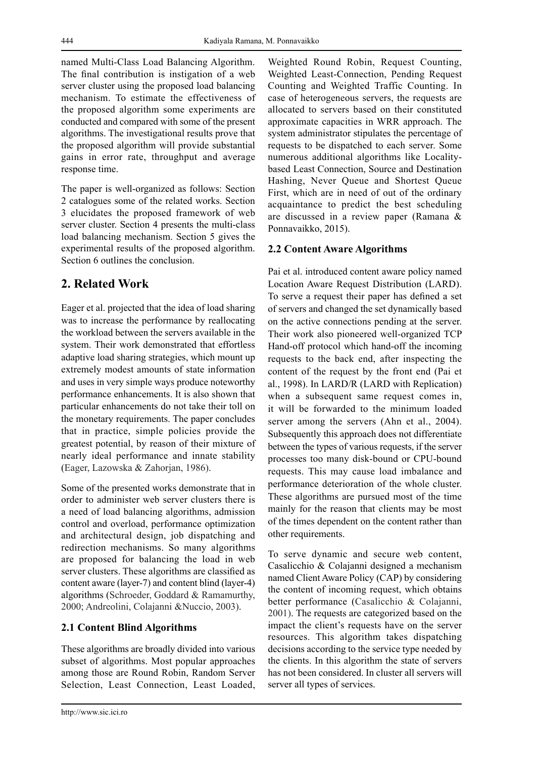named Multi-Class Load Balancing Algorithm. The final contribution is instigation of a web server cluster using the proposed load balancing mechanism. To estimate the effectiveness of the proposed algorithm some experiments are conducted and compared with some of the present algorithms. The investigational results prove that the proposed algorithm will provide substantial gains in error rate, throughput and average response time.

The paper is well-organized as follows: Section 2 catalogues some of the related works. Section 3 elucidates the proposed framework of web server cluster. Section 4 presents the multi-class load balancing mechanism. Section 5 gives the experimental results of the proposed algorithm. Section 6 outlines the conclusion.

# **2. Related Work**

Eager et al. projected that the idea of load sharing was to increase the performance by reallocating the workload between the servers available in the system. Their work demonstrated that effortless adaptive load sharing strategies, which mount up extremely modest amounts of state information and uses in very simple ways produce noteworthy performance enhancements. It is also shown that particular enhancements do not take their toll on the monetary requirements. The paper concludes that in practice, simple policies provide the greatest potential, by reason of their mixture of nearly ideal performance and innate stability (Eager, Lazowska & Zahorjan, 1986).

Some of the presented works demonstrate that in order to administer web server clusters there is a need of load balancing algorithms, admission control and overload, performance optimization and architectural design, job dispatching and redirection mechanisms. So many algorithms are proposed for balancing the load in web server clusters. These algorithms are classified as content aware (layer-7) and content blind (layer-4) algorithms (Schroeder, Goddard & Ramamurthy, 2000; Andreolini, Colajanni &Nuccio, 2003).

## **2.1 Content Blind Algorithms**

These algorithms are broadly divided into various subset of algorithms. Most popular approaches among those are Round Robin, Random Server Selection, Least Connection, Least Loaded,

Weighted Round Robin, Request Counting, Weighted Least-Connection, Pending Request Counting and Weighted Traffic Counting. In case of heterogeneous servers, the requests are allocated to servers based on their constituted approximate capacities in WRR approach. The system administrator stipulates the percentage of requests to be dispatched to each server. Some numerous additional algorithms like Localitybased Least Connection, Source and Destination Hashing, Never Queue and Shortest Queue First, which are in need of out of the ordinary acquaintance to predict the best scheduling are discussed in a review paper (Ramana & Ponnavaikko, 2015).

## **2.2 Content Aware Algorithms**

Pai et al. introduced content aware policy named Location Aware Request Distribution (LARD). To serve a request their paper has defined a set of servers and changed the set dynamically based on the active connections pending at the server. Their work also pioneered well-organized TCP Hand-off protocol which hand-off the incoming requests to the back end, after inspecting the content of the request by the front end (Pai et al., 1998). In LARD/R (LARD with Replication) when a subsequent same request comes in, it will be forwarded to the minimum loaded server among the servers (Ahn et al., 2004). Subsequently this approach does not differentiate between the types of various requests, if the server processes too many disk-bound or CPU-bound requests. This may cause load imbalance and performance deterioration of the whole cluster. These algorithms are pursued most of the time mainly for the reason that clients may be most of the times dependent on the content rather than other requirements.

To serve dynamic and secure web content, Casalicchio & Colajanni designed a mechanism named Client Aware Policy (CAP) by considering the content of incoming request, which obtains better performance (Casalicchio & Colajanni, 2001). The requests are categorized based on the impact the client's requests have on the server resources. This algorithm takes dispatching decisions according to the service type needed by the clients. In this algorithm the state of servers has not been considered. In cluster all servers will server all types of services.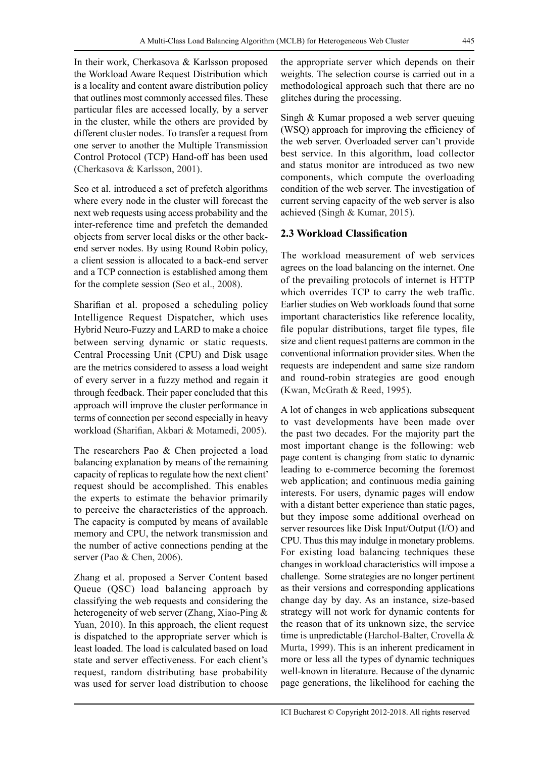In their work, Cherkasova & Karlsson proposed the Workload Aware Request Distribution which is a locality and content aware distribution policy that outlines most commonly accessed files. These particular files are accessed locally, by a server in the cluster, while the others are provided by different cluster nodes. To transfer a request from one server to another the Multiple Transmission Control Protocol (TCP) Hand-off has been used (Cherkasova & Karlsson, 2001).

Seo et al. introduced a set of prefetch algorithms where every node in the cluster will forecast the next web requests using access probability and the inter-reference time and prefetch the demanded objects from server local disks or the other backend server nodes. By using Round Robin policy, a client session is allocated to a back-end server and a TCP connection is established among them for the complete session (Seo et al., 2008).

Sharifian et al. proposed a scheduling policy Intelligence Request Dispatcher, which uses Hybrid Neuro-Fuzzy and LARD to make a choice between serving dynamic or static requests. Central Processing Unit (CPU) and Disk usage are the metrics considered to assess a load weight of every server in a fuzzy method and regain it through feedback. Their paper concluded that this approach will improve the cluster performance in terms of connection per second especially in heavy workload (Sharifian, Akbari & Motamedi, 2005).

The researchers Pao & Chen projected a load balancing explanation by means of the remaining capacity of replicas to regulate how the next client' request should be accomplished. This enables the experts to estimate the behavior primarily to perceive the characteristics of the approach. The capacity is computed by means of available memory and CPU, the network transmission and the number of active connections pending at the server (Pao & Chen, 2006).

Zhang et al. proposed a Server Content based Queue (QSC) load balancing approach by classifying the web requests and considering the heterogeneity of web server (Zhang, Xiao-Ping & Yuan, 2010). In this approach, the client request is dispatched to the appropriate server which is least loaded. The load is calculated based on load state and server effectiveness. For each client's request, random distributing base probability was used for server load distribution to choose the appropriate server which depends on their weights. The selection course is carried out in a methodological approach such that there are no glitches during the processing.

Singh & Kumar proposed a web server queuing (WSQ) approach for improving the efficiency of the web server. Overloaded server can't provide best service. In this algorithm, load collector and status monitor are introduced as two new components, which compute the overloading condition of the web server. The investigation of current serving capacity of the web server is also achieved (Singh & Kumar, 2015).

## **2.3 Workload Classification**

The workload measurement of web services agrees on the load balancing on the internet. One of the prevailing protocols of internet is HTTP which overrides TCP to carry the web traffic. Earlier studies on Web workloads found that some important characteristics like reference locality, file popular distributions, target file types, file size and client request patterns are common in the conventional information provider sites. When the requests are independent and same size random and round-robin strategies are good enough (Kwan, McGrath & Reed, 1995).

A lot of changes in web applications subsequent to vast developments have been made over the past two decades. For the majority part the most important change is the following: web page content is changing from static to dynamic leading to e-commerce becoming the foremost web application; and continuous media gaining interests. For users, dynamic pages will endow with a distant better experience than static pages, but they impose some additional overhead on server resources like Disk Input/Output (I/O) and CPU. Thus this may indulge in monetary problems. For existing load balancing techniques these changes in workload characteristics will impose a challenge. Some strategies are no longer pertinent as their versions and corresponding applications change day by day. As an instance, size-based strategy will not work for dynamic contents for the reason that of its unknown size, the service time is unpredictable (Harchol-Balter, Crovella & Murta, 1999). This is an inherent predicament in more or less all the types of dynamic techniques well-known in literature. Because of the dynamic page generations, the likelihood for caching the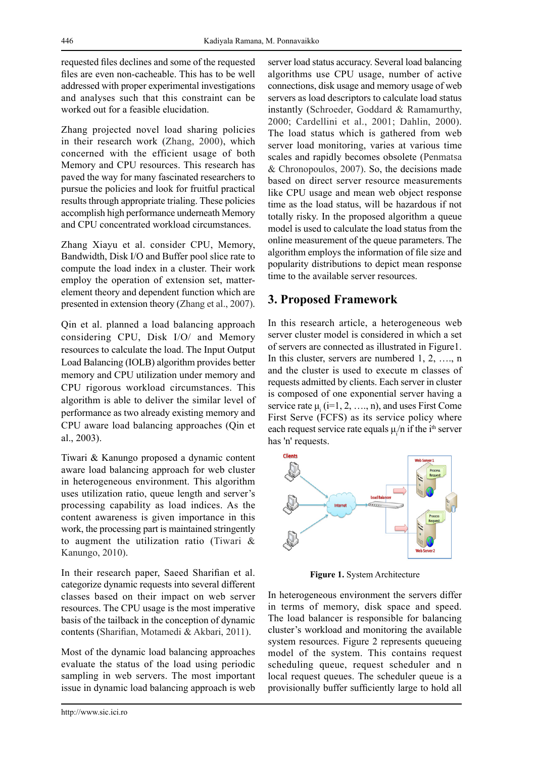requested files declines and some of the requested files are even non-cacheable. This has to be well addressed with proper experimental investigations and analyses such that this constraint can be worked out for a feasible elucidation.

Zhang projected novel load sharing policies in their research work (Zhang, 2000), which concerned with the efficient usage of both Memory and CPU resources. This research has paved the way for many fascinated researchers to pursue the policies and look for fruitful practical results through appropriate trialing. These policies accomplish high performance underneath Memory and CPU concentrated workload circumstances.

Zhang Xiayu et al. consider CPU, Memory, Bandwidth, Disk I/O and Buffer pool slice rate to compute the load index in a cluster. Their work employ the operation of extension set, matterelement theory and dependent function which are presented in extension theory (Zhang et al., 2007).

Qin et al. planned a load balancing approach considering CPU, Disk I/O/ and Memory resources to calculate the load. The Input Output Load Balancing (IOLB) algorithm provides better memory and CPU utilization under memory and CPU rigorous workload circumstances. This algorithm is able to deliver the similar level of performance as two already existing memory and CPU aware load balancing approaches (Qin et al., 2003).

Tiwari & Kanungo proposed a dynamic content aware load balancing approach for web cluster in heterogeneous environment. This algorithm uses utilization ratio, queue length and server's processing capability as load indices. As the content awareness is given importance in this work, the processing part is maintained stringently to augment the utilization ratio (Tiwari & Kanungo, 2010).

In their research paper, Saeed Sharifian et al. categorize dynamic requests into several different classes based on their impact on web server resources. The CPU usage is the most imperative basis of the tailback in the conception of dynamic contents (Sharifian, Motamedi & Akbari, 2011).

Most of the dynamic load balancing approaches evaluate the status of the load using periodic sampling in web servers. The most important issue in dynamic load balancing approach is web server load status accuracy. Several load balancing algorithms use CPU usage, number of active connections, disk usage and memory usage of web servers as load descriptors to calculate load status instantly (Schroeder, Goddard & Ramamurthy, 2000; Cardellini et al., 2001; Dahlin, 2000). The load status which is gathered from web server load monitoring, varies at various time scales and rapidly becomes obsolete (Penmatsa & Chronopoulos, 2007). So, the decisions made based on direct server resource measurements like CPU usage and mean web object response time as the load status, will be hazardous if not totally risky. In the proposed algorithm a queue model is used to calculate the load status from the online measurement of the queue parameters. The algorithm employs the information of file size and popularity distributions to depict mean response time to the available server resources.

## **3. Proposed Framework**

In this research article, a heterogeneous web server cluster model is considered in which a set of servers are connected as illustrated in Figure1. In this cluster, servers are numbered 1, 2, …., n and the cluster is used to execute m classes of requests admitted by clients. Each server in cluster is composed of one exponential server having a service rate  $\mu_i$  (i=1, 2, ..., n), and uses First Come First Serve (FCFS) as its service policy where each request service rate equals  $\mu_i/n$  if the i<sup>th</sup> server has 'n' requests.



**Figure 1.** System Architecture

In heterogeneous environment the servers differ in terms of memory, disk space and speed. The load balancer is responsible for balancing cluster's workload and monitoring the available system resources. Figure 2 represents queueing model of the system. This contains request scheduling queue, request scheduler and n local request queues. The scheduler queue is a provisionally buffer sufficiently large to hold all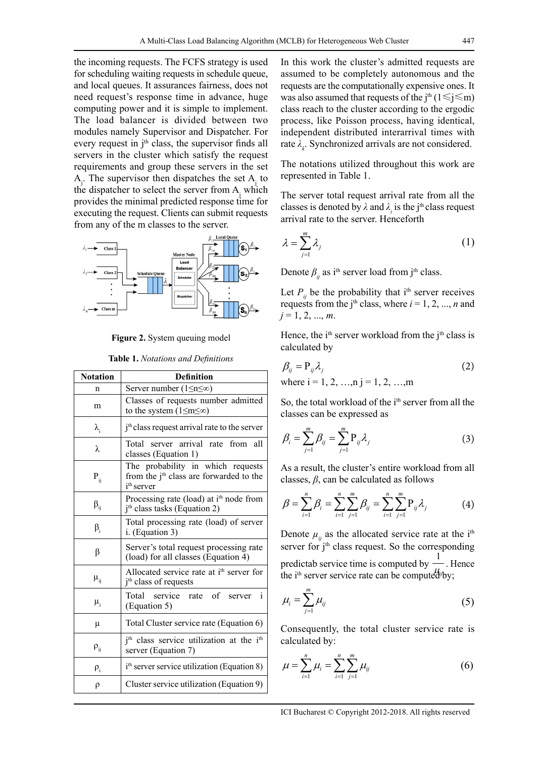the incoming requests. The FCFS strategy is used for scheduling waiting requests in schedule queue, and local queues. It assurances fairness, does not need request's response time in advance, huge computing power and it is simple to implement. The load balancer is divided between two modules namely Supervisor and Dispatcher. For every request in  $j<sup>th</sup>$  class, the supervisor finds all servers in the cluster which satisfy the request requirements and group these servers in the set  $A_j$ . The supervisor then dispatches the set  $A_j$  to the dispatcher to select the server from  $A_j$  which provides the minimal predicted response time for executing the request. Clients can submit requests from any of the m classes to the server.



**Figure 2.** System queuing model

| <b>Notation</b>   | <b>Definition</b>                                                                                                  |  |
|-------------------|--------------------------------------------------------------------------------------------------------------------|--|
| n                 | Server number $(1 \le n \le \infty)$                                                                               |  |
| m                 | Classes of requests number admitted<br>to the system $(1 \le m \le \infty)$                                        |  |
| $\lambda_{i}$     | j <sup>th</sup> class request arrival rate to the server                                                           |  |
| λ                 | Total server arrival rate<br>from<br>all<br>classes (Equation 1)                                                   |  |
| $\mathbf{P}_{ij}$ | The probability in which requests<br>from the j <sup>th</sup> class are forwarded to the<br>i <sup>th</sup> server |  |
| $\beta_{ii}$      | Processing rate (load) at i <sup>th</sup> node from<br>$jth class tasks (Equation 2)$                              |  |
| $\beta_i$         | Total processing rate (load) of server<br>i. (Equation 3)                                                          |  |
| β                 | Server's total request processing rate<br>(load) for all classes (Equation 4)                                      |  |
| $\mu_{ij}$        | Allocated service rate at i <sup>th</sup> server for<br>j <sup>th</sup> class of requests                          |  |
| $\mu_i$           | $\mathbf{i}$<br>service rate of server<br>Total<br>(Equation 5)                                                    |  |
| μ                 | Total Cluster service rate (Equation 6)                                                                            |  |
| $\rho_{ij}$       | j <sup>th</sup> class service utilization at the i <sup>th</sup><br>server (Equation 7)                            |  |
| $\rho_i$          | i <sup>th</sup> server service utilization (Equation 8)                                                            |  |
| ρ                 | Cluster service utilization (Equation 9)                                                                           |  |

In this work the cluster's admitted requests are assumed to be completely autonomous and the requests are the computationally expensive ones. It was also assumed that requests of the j<sup>th</sup> (1≤j≤m) class reach to the cluster according to the ergodic process, like Poisson process, having identical, independent distributed interarrival times with rate  $\lambda_k$ . Synchronized arrivals are not considered.

The notations utilized throughout this work are represented in Table 1.

The server total request arrival rate from all the classes is denoted by  $\lambda$  and  $\lambda$ <sub>*i*</sub> is the j<sup>th</sup> class request arrival rate to the server. Henceforth

$$
\lambda = \sum_{j=1}^{m} \lambda_j \tag{1}
$$

Denote  $\beta_i$  as i<sup>th</sup> server load from j<sup>th</sup> class.

Let  $P_{ii}$  be the probability that i<sup>th</sup> server receives requests from the j<sup>th</sup> class, where  $i = 1, 2, ..., n$  and  $j = 1, 2, ..., m$ .

Hence, the  $i<sup>th</sup>$  server workload from the  $i<sup>th</sup>$  class is calculated by

$$
\beta_{ij} = P_{ij} \lambda_j
$$
\nwhere  $i = 1, 2, \ldots, n$   $i = 1, 2, \ldots, m$ 

So, the total workload of the i<sup>th</sup> server from all the classes can be expressed as

$$
\beta_i = \sum_{j=1}^m \beta_{ij} = \sum_{j=1}^m P_{ij} \lambda_j \tag{3}
$$

As a result, the cluster's entire workload from all classes, *β*, can be calculated as follows

$$
\beta = \sum_{i=1}^{n} \beta_i = \sum_{i=1}^{n} \sum_{j=1}^{m} \beta_{ij} = \sum_{i=1}^{n} \sum_{j=1}^{m} P_{ij} \lambda_j
$$
(4)

Denote  $\mu_{ij}$  as the allocated service rate at the i<sup>th</sup> server for  $j<sup>th</sup>$  class request. So the corresponding predictab service time is computed by  $\frac{1}{1}$ . Hence the i<sup>th</sup> server service rate can be computed<sup> $\mu_j$ </sup>by;

$$
\mu_i = \sum_{j=1}^m \mu_{ij} \tag{5}
$$

Consequently, the total cluster service rate is calculated by:

$$
\mu = \sum_{i=1}^{n} \mu_i = \sum_{i=1}^{n} \sum_{j=1}^{m} \mu_{ij}
$$
 (6)

447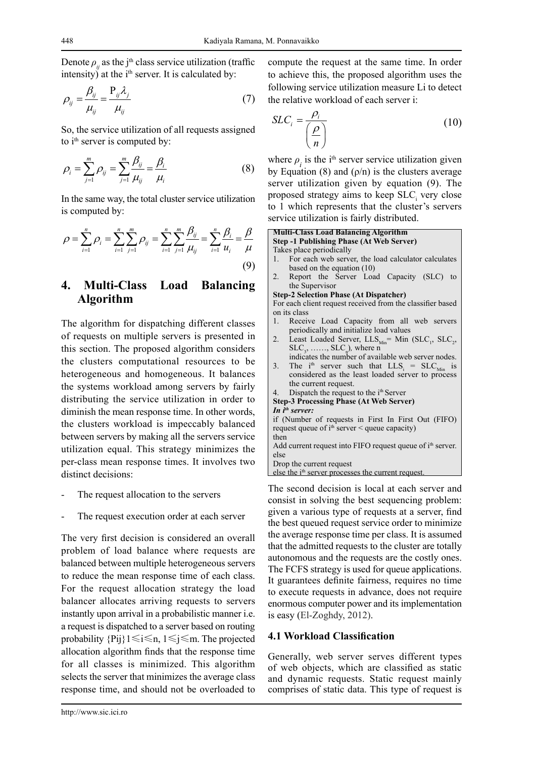Denote  $\rho$ <sup>*i*</sup> as the j<sup>th</sup> class service utilization (traffic intensity) at the  $i<sup>th</sup>$  server. It is calculated by:

$$
\rho_{ij} = \frac{\beta_{ij}}{\mu_{ij}} = \frac{P_{ij}\lambda_j}{\mu_{ij}}
$$
\n(7)

So, the service utilization of all requests assigned to i<sup>th</sup> server is computed by:

$$
\rho_i = \sum_{j=1}^{m} \rho_{ij} = \sum_{j=1}^{m} \frac{\beta_{ij}}{\mu_{ij}} = \frac{\beta_i}{\mu_i}
$$
 (8)

In the same way, the total cluster service utilization is computed by:

$$
\rho = \sum_{i=1}^{n} \rho_i = \sum_{i=1}^{n} \sum_{j=1}^{m} \rho_{ij} = \sum_{i=1}^{n} \sum_{j=1}^{m} \frac{\beta_{ij}}{\mu_{ij}} = \sum_{i=1}^{n} \frac{\beta_i}{u_i} = \frac{\beta}{\mu}
$$
\n(9)

## **4. Multi-Class Load Balancing Algorithm**

The algorithm for dispatching different classes of requests on multiple servers is presented in this section. The proposed algorithm considers the clusters computational resources to be heterogeneous and homogeneous. It balances the systems workload among servers by fairly distributing the service utilization in order to diminish the mean response time. In other words, the clusters workload is impeccably balanced between servers by making all the servers service utilization equal. This strategy minimizes the per-class mean response times. It involves two distinct decisions:

- The request allocation to the servers
- The request execution order at each server

The very first decision is considered an overall problem of load balance where requests are balanced between multiple heterogeneous servers to reduce the mean response time of each class. For the request allocation strategy the load balancer allocates arriving requests to servers instantly upon arrival in a probabilistic manner i.e. a request is dispatched to a server based on routing probability {Pij}1≤i≤n, 1≤j≤m. The projected allocation algorithm finds that the response time for all classes is minimized. This algorithm selects the server that minimizes the average class response time, and should not be overloaded to compute the request at the same time. In order to achieve this, the proposed algorithm uses the following service utilization measure Li to detect the relative workload of each server i:

$$
SLC_i = \frac{\rho_i}{\left(\frac{\rho}{n}\right)}
$$
 (10)

where  $\rho_i$  is the i<sup>th</sup> server service utilization given by Equation (8) and  $(\rho/n)$  is the clusters average server utilization given by equation (9). The proposed strategy aims to keep  $SLC<sub>i</sub>$  very close to 1 which represents that the cluster's servers service utilization is fairly distributed.

#### **Multi-Class Load Balancing Algorithm Step -1 Publishing Phase (At Web Server)**

Takes place periodically

- 1. For each web server, the load calculator calculates based on the equation (10)
- Report the Server Load Capacity (SLC) to the Supervisor

**Step-2 Selection Phase (At Dispatcher)**

For each client request received from the classifier based on its class

- 1. Receive Load Capacity from all web servers periodically and initialize load values
- 2. Least Loaded Server,  $LLS_{Min} = Min (SLC_1, SLC_2,$  $SLC_3$ , ......,  $SLC_n$ ), where n
- indicates the number of available web server nodes. 3. The  $i^{th}$  server such that  $LLS_i = SLC_{Min}$  is considered as the least loaded server to process the current request.

```
Dispatch the request to the i<sup>th</sup> Server
Step-3 Processing Phase (At Web Server)
```

```
In ith server:
if (Number of requests in First In First Out (FIFO) 
request queue of i<sup>th</sup> server \leq queue capacity)
then
Add current request into FIFO request queue of i<sup>th</sup> server.
else
```
Drop the current request

else the  $i<sup>th</sup>$  server processes the current request.

The second decision is local at each server and consist in solving the best sequencing problem: given a various type of requests at a server, find the best queued request service order to minimize the average response time per class. It is assumed that the admitted requests to the cluster are totally autonomous and the requests are the costly ones. The FCFS strategy is used for queue applications. It guarantees definite fairness, requires no time to execute requests in advance, does not require enormous computer power and its implementation is easy (El-Zoghdy, 2012).

### **4.1 Workload Classification**

Generally, web server serves different types of web objects, which are classified as static and dynamic requests. Static request mainly comprises of static data. This type of request is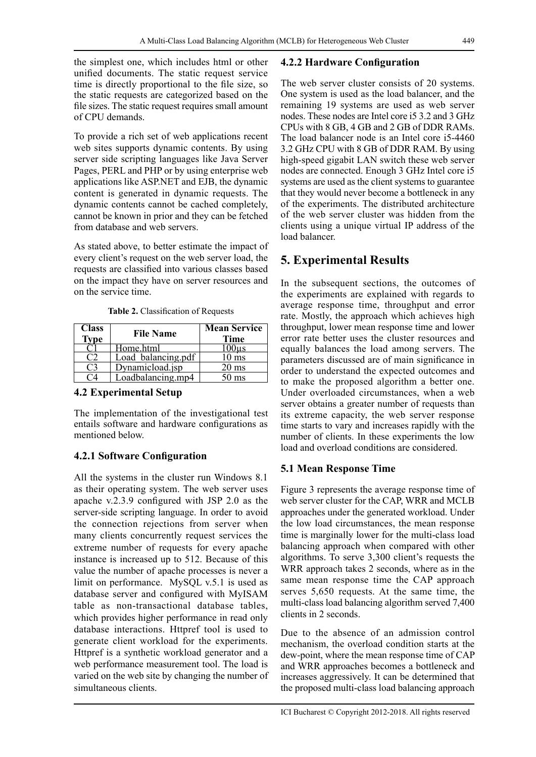the simplest one, which includes html or other unified documents. The static request service time is directly proportional to the file size, so the static requests are categorized based on the file sizes. The static request requires small amount of CPU demands.

To provide a rich set of web applications recent web sites supports dynamic contents. By using server side scripting languages like Java Server Pages, PERL and PHP or by using enterprise web applications like ASP.NET and EJB, the dynamic content is generated in dynamic requests. The dynamic contents cannot be cached completely, cannot be known in prior and they can be fetched from database and web servers.

As stated above, to better estimate the impact of every client's request on the web server load, the requests are classified into various classes based on the impact they have on server resources and on the service time.

| <b>Class</b><br><b>Type</b> | <b>File Name</b>   | <b>Mean Service</b><br><b>Time</b> |
|-----------------------------|--------------------|------------------------------------|
|                             | Home.html          | $100\mu s$                         |
|                             | Load balancing.pdf | $10 \text{ ms}$                    |
| ( '3                        | Dynamicload.jsp    | $20 \text{ ms}$                    |
|                             | Loadbalancing.mp4  | $50 \text{ ms}$                    |

**Table 2.** Classification of Requests

### **4.2 Experimental Setup**

The implementation of the investigational test entails software and hardware configurations as mentioned below.

## **4.2.1 Software Configuration**

All the systems in the cluster run Windows 8.1 as their operating system. The web server uses apache v.2.3.9 configured with JSP 2.0 as the server-side scripting language. In order to avoid the connection rejections from server when many clients concurrently request services the extreme number of requests for every apache instance is increased up to 512. Because of this value the number of apache processes is never a limit on performance. MySQL v.5.1 is used as database server and configured with MyISAM table as non-transactional database tables, which provides higher performance in read only database interactions. Httpref tool is used to generate client workload for the experiments. Httpref is a synthetic workload generator and a web performance measurement tool. The load is varied on the web site by changing the number of simultaneous clients.

#### **4.2.2 Hardware Configuration**

The web server cluster consists of 20 systems. One system is used as the load balancer, and the remaining 19 systems are used as web server nodes. These nodes are Intel core i5 3.2 and 3 GHz CPUs with 8 GB, 4 GB and 2 GB of DDR RAMs. The load balancer node is an Intel core i5-4460 3.2 GHz CPU with 8 GB of DDR RAM. By using high-speed gigabit LAN switch these web server nodes are connected. Enough 3 GHz Intel core i5 systems are used as the client systems to guarantee that they would never become a bottleneck in any of the experiments. The distributed architecture of the web server cluster was hidden from the clients using a unique virtual IP address of the load balancer.

## **5. Experimental Results**

In the subsequent sections, the outcomes of the experiments are explained with regards to average response time, throughput and error rate. Mostly, the approach which achieves high throughput, lower mean response time and lower error rate better uses the cluster resources and equally balances the load among servers. The parameters discussed are of main significance in order to understand the expected outcomes and to make the proposed algorithm a better one. Under overloaded circumstances, when a web server obtains a greater number of requests than its extreme capacity, the web server response time starts to vary and increases rapidly with the number of clients. In these experiments the low load and overload conditions are considered.

## **5.1 Mean Response Time**

Figure 3 represents the average response time of web server cluster for the CAP, WRR and MCLB approaches under the generated workload. Under the low load circumstances, the mean response time is marginally lower for the multi-class load balancing approach when compared with other algorithms. To serve 3,300 client's requests the WRR approach takes 2 seconds, where as in the same mean response time the CAP approach serves 5,650 requests. At the same time, the multi-class load balancing algorithm served 7,400 clients in 2 seconds.

Due to the absence of an admission control mechanism, the overload condition starts at the dew-point, where the mean response time of CAP and WRR approaches becomes a bottleneck and increases aggressively. It can be determined that the proposed multi-class load balancing approach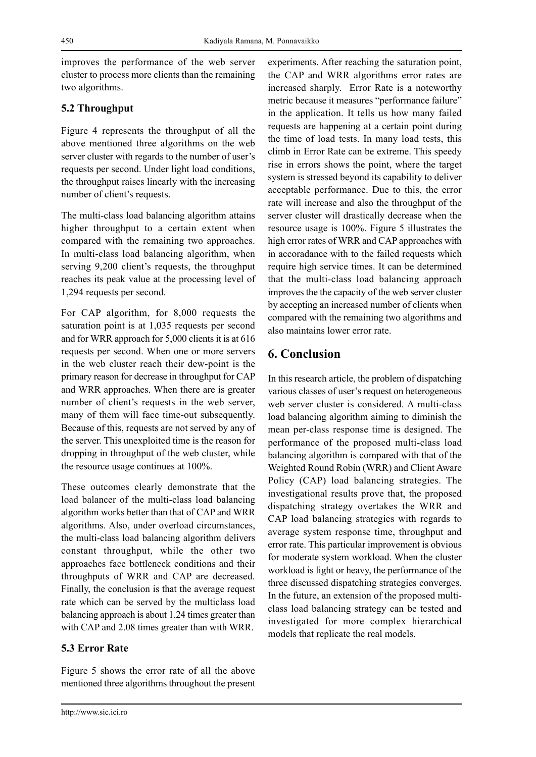improves the performance of the web server cluster to process more clients than the remaining two algorithms.

### **5.2 Throughput**

Figure 4 represents the throughput of all the above mentioned three algorithms on the web server cluster with regards to the number of user's requests per second. Under light load conditions, the throughput raises linearly with the increasing number of client's requests.

The multi-class load balancing algorithm attains higher throughput to a certain extent when compared with the remaining two approaches. In multi-class load balancing algorithm, when serving 9,200 client's requests, the throughput reaches its peak value at the processing level of 1,294 requests per second.

For CAP algorithm, for 8,000 requests the saturation point is at 1,035 requests per second and for WRR approach for 5,000 clients it is at 616 requests per second. When one or more servers in the web cluster reach their dew-point is the primary reason for decrease in throughput for CAP and WRR approaches. When there are is greater number of client's requests in the web server, many of them will face time-out subsequently. Because of this, requests are not served by any of the server. This unexploited time is the reason for dropping in throughput of the web cluster, while the resource usage continues at 100%.

These outcomes clearly demonstrate that the load balancer of the multi-class load balancing algorithm works better than that of CAP and WRR algorithms. Also, under overload circumstances, the multi-class load balancing algorithm delivers constant throughput, while the other two approaches face bottleneck conditions and their throughputs of WRR and CAP are decreased. Finally, the conclusion is that the average request rate which can be served by the multiclass load balancing approach is about 1.24 times greater than with CAP and 2.08 times greater than with WRR.

### **5.3 Error Rate**

Figure 5 shows the error rate of all the above mentioned three algorithms throughout the present

http://www.sic.ici.ro

experiments. After reaching the saturation point, the CAP and WRR algorithms error rates are increased sharply. Error Rate is a noteworthy metric because it measures "performance failure" in the application. It tells us how many failed requests are happening at a certain point during the time of load tests. In many load tests, this climb in Error Rate can be extreme. This speedy rise in errors shows the point, where the target system is stressed beyond its capability to deliver acceptable performance. Due to this, the error rate will increase and also the throughput of the server cluster will drastically decrease when the resource usage is 100%. Figure 5 illustrates the high error rates of WRR and CAP approaches with in accoradance with to the failed requests which require high service times. It can be determined that the multi-class load balancing approach improves the the capacity of the web server cluster by accepting an increased number of clients when compared with the remaining two algorithms and also maintains lower error rate.

## **6. Conclusion**

In this research article, the problem of dispatching various classes of user's request on heterogeneous web server cluster is considered. A multi-class load balancing algorithm aiming to diminish the mean per-class response time is designed. The performance of the proposed multi-class load balancing algorithm is compared with that of the Weighted Round Robin (WRR) and Client Aware Policy (CAP) load balancing strategies. The investigational results prove that, the proposed dispatching strategy overtakes the WRR and CAP load balancing strategies with regards to average system response time, throughput and error rate. This particular improvement is obvious for moderate system workload. When the cluster workload is light or heavy, the performance of the three discussed dispatching strategies converges. In the future, an extension of the proposed multiclass load balancing strategy can be tested and investigated for more complex hierarchical models that replicate the real models.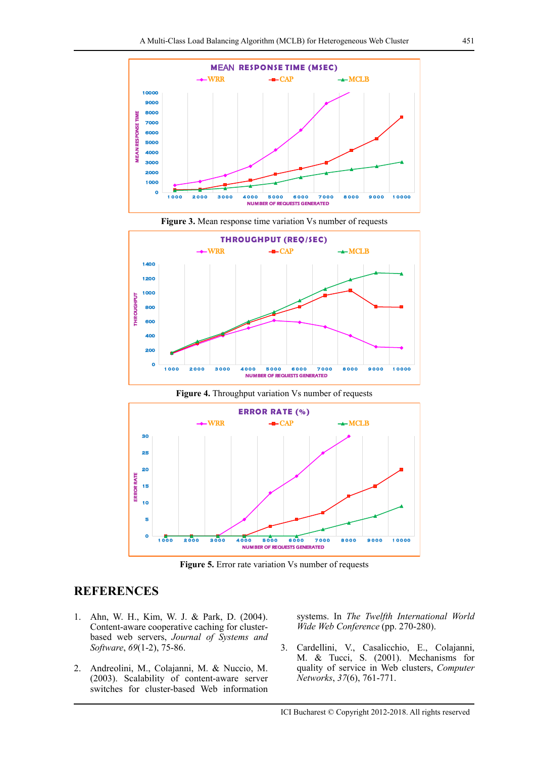



**Figure 3.** Mean response time variation Vs number of requests



**Figure 4.** Throughput variation Vs number of requests

**Figure 5.** Error rate variation Vs number of requests

## **REFERENCES**

- 1. Ahn, W. H., Kim, W. J. & Park, D. (2004). Content-aware cooperative caching for clusterbased web servers, *Journal of Systems and Software*, *69*(1-2), 75-86.
- 2. Andreolini, M., Colajanni, M. & Nuccio, M. (2003). Scalability of content-aware server switches for cluster-based Web information

systems. In *The Twelfth International World Wide Web Conference* (pp. 270-280).

3. Cardellini, V., Casalicchio, E., Colajanni, M. & Tucci, S. (2001). Mechanisms for quality of service in Web clusters, *Computer Networks*, *37*(6), 761-771.